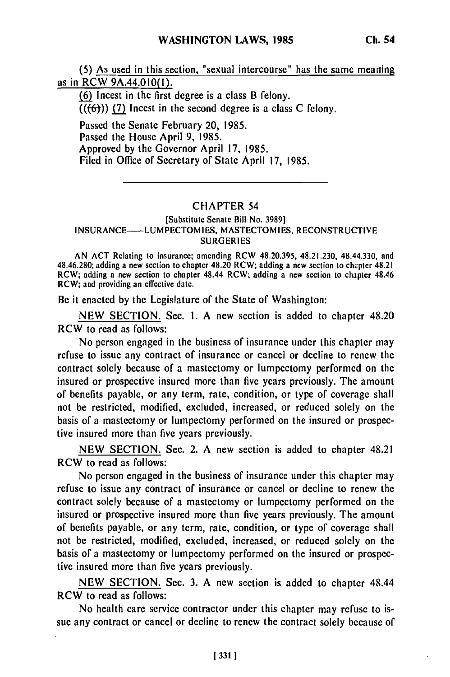**(5)** As used in this section, "sexual intercourse" has the same meaning as in RCW 9A.44.010(l).

**(6)** Incest in the first degree is a class B felony.  $((\{6\}))$  (7) Incest in the second degree is a class C felony.

Passed the Senate February 20, **1985.** Passed the House April **9, 1985.** Approved **by** the Governor April **17, 1985.** Filed in Office of Secretary of State April **17, 1985.**

## CHAPTER 54

## [Substitute Senate Bill No. **3989] INSURANCE-LUMPECTOMIES, MASTECTOMIES, RECONSTRUCTIVE SURGERIES**

**AN ACT** Relating to insurance; amending RCW **48.20.395,** 48.21.230, 48.44.330, and 48.46.280; adding a new section to chapter 48.20 RCW; adding a new section to chapter 48.21 RCW; adding a new section to chapter 48.44 RCW; adding a new section to chapter 48.46 RCW; and providing an effective date.

Be it enacted **by** the Legislature of the State of Washington:

**NEW SECTION.** Sec. **1. A** new section is added to chapter 48.20 RCW to read as follows:

No person engaged in the business of insurance under this chapter may refuse to issue any contract of insurance or cancel or decline to renew the contract solely because of a mastectomy or lumpectomy performed on the insured or prospective insured more than five years previously. The amount of benefits payable, or any term, rate, condition, or type of coverage shall not be restricted, modified, excluded, increased, or reduced solely on the basis of a mastectomy or lumpectomy performed on the insured or prospective insured more than five years previously.

**NEW SECTION.** Sec. 2. **A** new section is added to chapter 48.21 RCW to read as follows:

No person engaged in the business of insurance under this chapter may refuse to issue any contract of insurance or cancel or decline to renew the contract solely because of a mastectomy or lumpectomy performed on the insured or prospective insured more than five years previously. The amount of benefits payable, or any term, rate, condition, or type of coverage shall not **be** restricted, modified, excluded, increased, or reduced solely on the basis of a mastectomy or lumpectomy performed on the insured or prospective insured more than five years previously.

**NEW SECTION.** Sec. **3. A** new section is added to chapter 48.44 RCW to read as follows:

No health care service contractor under this chapter may refuse to issue any contract or cancel or decline to renew the contract solely because of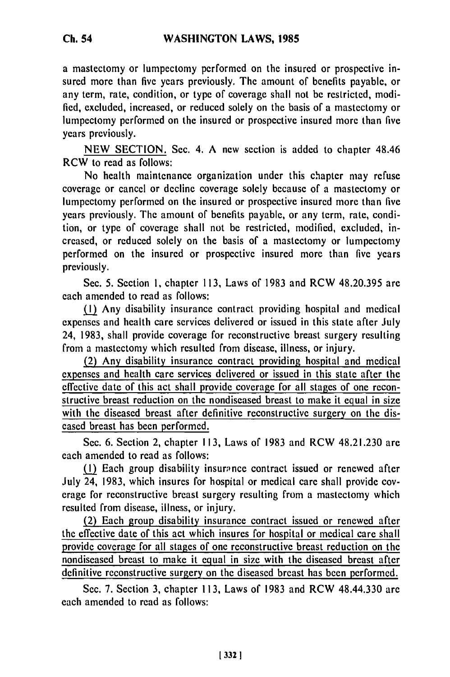a mastectomy or lumpectomy performed on the insured or prospective insured more than five years previously. The amount of benefits payable, or any term, rate, condition, or type of coverage shall not be restricted, modified, excluded, increased, or reduced solely on the basis of a mastectomy or lumpectomy performed on the insured or prospective insured more than five years previously.

**NEW** SECTION. Sec. 4. A new section is added to chapter 48.46 RCW to read as follows:

No health maintenance organization under this chapter may refuse coverage or cancel or decline coverage solely because of a mastectomy or lumpectomy performed on the insured or prospective insured more than five years previously. The amount of benefits payable, or any term, rate, condition, or type of coverage shall not be restricted, modified, excluded, increased, or reduced solely on the basis of a mastectomy or lumpectomy performed on the insured or prospective insured more than five years previously.

Sec. 5. Section 1, chapter 113, Laws of 1983 and RCW 48.20.395 are each amended to read as follows:

(1) Any disability insurance contract providing hospital and medical expenses and health care services delivered or issued in this state after July 24, 1983, shall provide coverage for reconstructive breast surgery resulting from a mastectomy which resulted from disease, illness, or injury.

(2) Any disability insurance contract providing hospital and medical expenses and health care services delivered or issued in this state after the effective date of this act shall provide coverage for all stages of one reconstructive breast reduction on the nondiseased breast to make it equal in size with the diseased breast after definitive reconstructive surgery on the diseased breast has been performed.

Sec. 6. Section 2, chapter 113, Laws of 1983 and RCW 48.21.230 are each amended to read as follows:

(1) Each group disability insurance contract issued or renewed after July 24, 1983, which insures for hospital or medical care shall provide coverage for reconstructive breast surgery resulting from a mastectomy which resulted from disease, illness, or injury.

(2) Each group disability insurance contract issued or renewed after the effective date of this act which insures for hospital or medical care shall provide coverage for all stages of one reconstructive breast reduction on the nondiseased breast to make it equal in size with the diseased breast after definitive reconstructive surgery on the diseased breast has been performed.

Sec. 7. Section 3, chapter 113, Laws of 1983 and RCW 48.44.330 are each amended to read as follows: